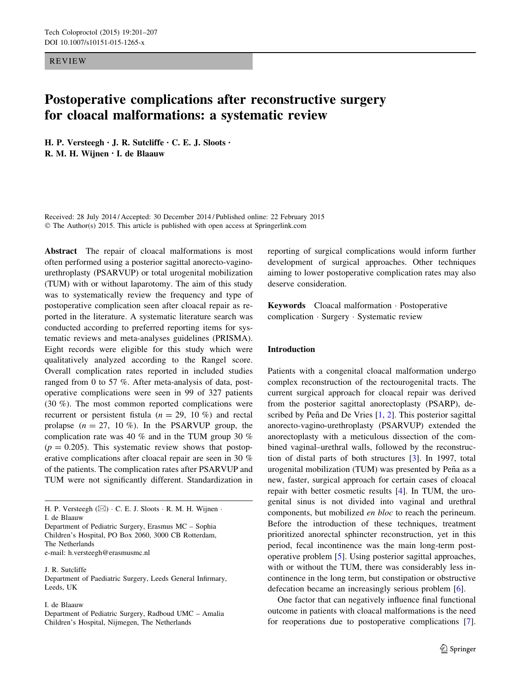REVIEW

# Postoperative complications after reconstructive surgery for cloacal malformations: a systematic review

H. P. Versteegh • J. R. Sutcliffe • C. E. J. Sloots • R. M. H. Wijnen • I. de Blaauw

Received: 28 July 2014 / Accepted: 30 December 2014 / Published online: 22 February 2015 © The Author(s) 2015. This article is published with open access at Springerlink.com

Abstract The repair of cloacal malformations is most often performed using a posterior sagittal anorecto-vaginourethroplasty (PSARVUP) or total urogenital mobilization (TUM) with or without laparotomy. The aim of this study was to systematically review the frequency and type of postoperative complication seen after cloacal repair as reported in the literature. A systematic literature search was conducted according to preferred reporting items for systematic reviews and meta-analyses guidelines (PRISMA). Eight records were eligible for this study which were qualitatively analyzed according to the Rangel score. Overall complication rates reported in included studies ranged from 0 to 57 %. After meta-analysis of data, postoperative complications were seen in 99 of 327 patients (30 %). The most common reported complications were recurrent or persistent fistula ( $n = 29$ , 10 %) and rectal prolapse  $(n = 27, 10\%)$ . In the PSARVUP group, the complication rate was 40 % and in the TUM group 30 %  $(p = 0.205)$ . This systematic review shows that postoperative complications after cloacal repair are seen in 30 % of the patients. The complication rates after PSARVUP and TUM were not significantly different. Standardization in

Department of Pediatric Surgery, Erasmus MC – Sophia Children's Hospital, PO Box 2060, 3000 CB Rotterdam, The Netherlands e-mail: h.versteegh@erasmusmc.nl

J. R. Sutcliffe

Department of Paediatric Surgery, Leeds General Infirmary, Leeds, UK

I. de Blaauw

Department of Pediatric Surgery, Radboud UMC – Amalia Children's Hospital, Nijmegen, The Netherlands

reporting of surgical complications would inform further development of surgical approaches. Other techniques aiming to lower postoperative complication rates may also deserve consideration.

Keywords Cloacal malformation - Postoperative complication - Surgery - Systematic review

# Introduction

Patients with a congenital cloacal malformation undergo complex reconstruction of the rectourogenital tracts. The current surgical approach for cloacal repair was derived from the posterior sagittal anorectoplasty (PSARP), described by Peña and De Vries  $[1, 2]$  $[1, 2]$  $[1, 2]$ . This posterior sagittal anorecto-vagino-urethroplasty (PSARVUP) extended the anorectoplasty with a meticulous dissection of the combined vaginal–urethral walls, followed by the reconstruction of distal parts of both structures [\[3](#page-5-0)]. In 1997, total urogenital mobilization (TUM) was presented by Peña as a new, faster, surgical approach for certain cases of cloacal repair with better cosmetic results [\[4](#page-5-0)]. In TUM, the urogenital sinus is not divided into vaginal and urethral components, but mobilized en bloc to reach the perineum. Before the introduction of these techniques, treatment prioritized anorectal sphincter reconstruction, yet in this period, fecal incontinence was the main long-term postoperative problem [[5\]](#page-5-0). Using posterior sagittal approaches, with or without the TUM, there was considerably less incontinence in the long term, but constipation or obstructive defecation became an increasingly serious problem [[6\]](#page-5-0).

One factor that can negatively influence final functional outcome in patients with cloacal malformations is the need for reoperations due to postoperative complications [\[7](#page-6-0)].

H. P. Versteegh  $(\boxtimes) \cdot C$ . E. J. Sloots  $\cdot R$ . M. H. Wijnen  $\cdot$ I. de Blaauw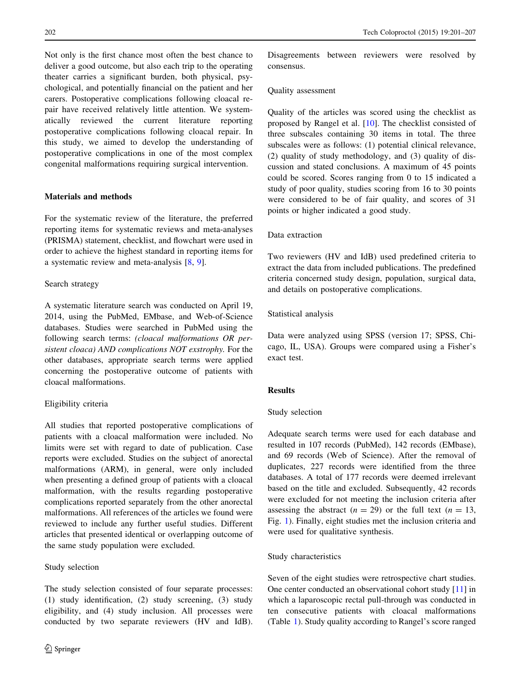Not only is the first chance most often the best chance to deliver a good outcome, but also each trip to the operating theater carries a significant burden, both physical, psychological, and potentially financial on the patient and her carers. Postoperative complications following cloacal repair have received relatively little attention. We systematically reviewed the current literature reporting postoperative complications following cloacal repair. In this study, we aimed to develop the understanding of postoperative complications in one of the most complex congenital malformations requiring surgical intervention.

# Materials and methods

For the systematic review of the literature, the preferred reporting items for systematic reviews and meta-analyses (PRISMA) statement, checklist, and flowchart were used in order to achieve the highest standard in reporting items for a systematic review and meta-analysis [[8,](#page-6-0) [9](#page-6-0)].

### Search strategy

A systematic literature search was conducted on April 19, 2014, using the PubMed, EMbase, and Web-of-Science databases. Studies were searched in PubMed using the following search terms: (cloacal malformations OR persistent cloaca) AND complications NOT exstrophy. For the other databases, appropriate search terms were applied concerning the postoperative outcome of patients with cloacal malformations.

## Eligibility criteria

All studies that reported postoperative complications of patients with a cloacal malformation were included. No limits were set with regard to date of publication. Case reports were excluded. Studies on the subject of anorectal malformations (ARM), in general, were only included when presenting a defined group of patients with a cloacal malformation, with the results regarding postoperative complications reported separately from the other anorectal malformations. All references of the articles we found were reviewed to include any further useful studies. Different articles that presented identical or overlapping outcome of the same study population were excluded.

# Study selection

The study selection consisted of four separate processes: (1) study identification, (2) study screening, (3) study eligibility, and (4) study inclusion. All processes were conducted by two separate reviewers (HV and IdB).

Disagreements between reviewers were resolved by consensus.

## Quality assessment

Quality of the articles was scored using the checklist as proposed by Rangel et al. [\[10](#page-6-0)]. The checklist consisted of three subscales containing 30 items in total. The three subscales were as follows: (1) potential clinical relevance, (2) quality of study methodology, and (3) quality of discussion and stated conclusions. A maximum of 45 points could be scored. Scores ranging from 0 to 15 indicated a study of poor quality, studies scoring from 16 to 30 points were considered to be of fair quality, and scores of 31 points or higher indicated a good study.

# Data extraction

Two reviewers (HV and IdB) used predefined criteria to extract the data from included publications. The predefined criteria concerned study design, population, surgical data, and details on postoperative complications.

## Statistical analysis

Data were analyzed using SPSS (version 17; SPSS, Chicago, IL, USA). Groups were compared using a Fisher's exact test.

#### **Results**

#### Study selection

Adequate search terms were used for each database and resulted in 107 records (PubMed), 142 records (EMbase), and 69 records (Web of Science). After the removal of duplicates, 227 records were identified from the three databases. A total of 177 records were deemed irrelevant based on the title and excluded. Subsequently, 42 records were excluded for not meeting the inclusion criteria after assessing the abstract ( $n = 29$ ) or the full text ( $n = 13$ , Fig. [1](#page-2-0)). Finally, eight studies met the inclusion criteria and were used for qualitative synthesis.

## Study characteristics

Seven of the eight studies were retrospective chart studies. One center conducted an observational cohort study [[11\]](#page-6-0) in which a laparoscopic rectal pull-through was conducted in ten consecutive patients with cloacal malformations (Table [1\)](#page-2-0). Study quality according to Rangel's score ranged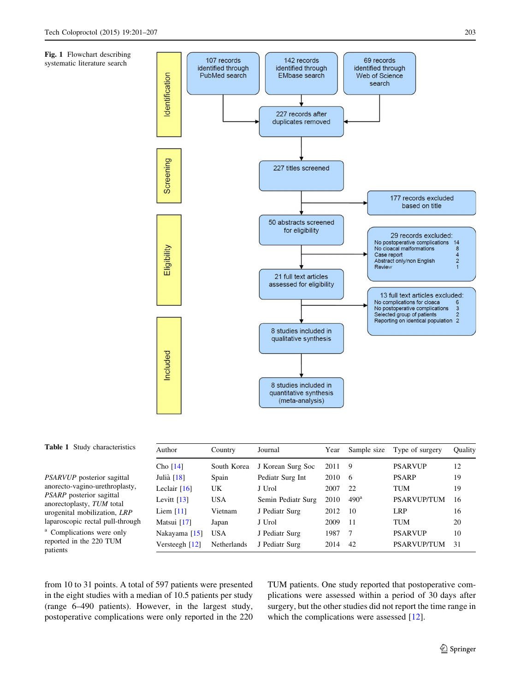<span id="page-2-0"></span>Fig. 1 Flowchart describing

systematic literature search



|  |  | <b>Table 1</b> Study characteristics |
|--|--|--------------------------------------|
|--|--|--------------------------------------|

PSARVUP posterior sagittal anorecto-vagino-urethroplasty, PSARP posterior sagittal anorectoplasty, TUM total urogenital mobilization, LRP laparoscopic rectal pull-through

<sup>a</sup> Complications were only reported in the 220 TUM patients

| Author           | Country     | Journal            | Year | Sample size   | Type of surgery    | Ouality |
|------------------|-------------|--------------------|------|---------------|--------------------|---------|
| Cho [14]         | South Korea | J Korean Surg Soc  | 2011 | 9             | <b>PSARVUP</b>     | 12      |
| Julià [18]       | Spain       | Pediatr Surg Int   | 2010 | -6            | <b>PSARP</b>       | 19      |
| Leclair [16]     | UK          | J Urol             | 2007 | 22            | TUM                | 19      |
| Levitt $[13]$    | <b>USA</b>  | Semin Pediatr Surg | 2010 | $490^{\rm a}$ | <b>PSARVUP/TUM</b> | 16      |
| Liem $[11]$      | Vietnam     | J Pediatr Surg     | 2012 | 10            | LRP                | 16      |
| Matsui [17]      | Japan       | J Urol             | 2009 | -11           | TUM                | 20      |
| Nakayama [15]    | <b>USA</b>  | J Pediatr Surg     | 1987 | -7            | <b>PSARVUP</b>     | 10      |
| Versteegh $[12]$ | Netherlands | J Pediatr Surg     | 2014 | 42            | <b>PSARVUP/TUM</b> | 31      |

from 10 to 31 points. A total of 597 patients were presented in the eight studies with a median of 10.5 patients per study (range 6–490 patients). However, in the largest study, postoperative complications were only reported in the 220 TUM patients. One study reported that postoperative complications were assessed within a period of 30 days after surgery, but the other studies did not report the time range in which the complications were assessed [[12\]](#page-6-0).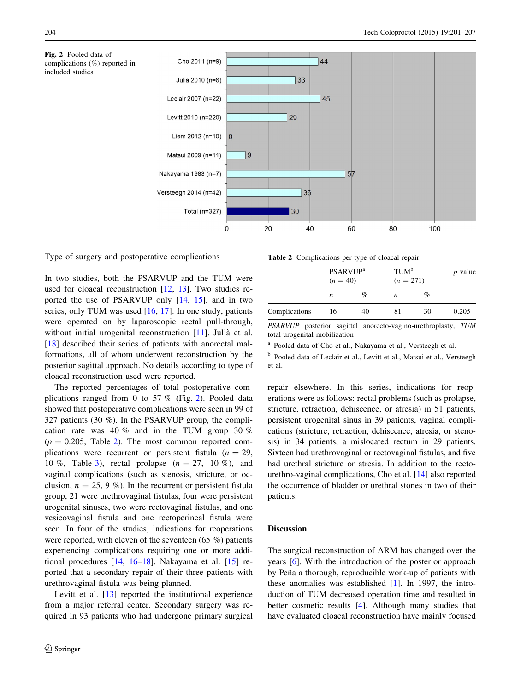



## Type of surgery and postoperative complications

In two studies, both the PSARVUP and the TUM were used for cloacal reconstruction [[12,](#page-6-0) [13\]](#page-6-0). Two studies reported the use of PSARVUP only [[14,](#page-6-0) [15\]](#page-6-0), and in two series, only TUM was used [\[16](#page-6-0), [17](#page-6-0)]. In one study, patients were operated on by laparoscopic rectal pull-through, without initial urogenital reconstruction [\[11](#page-6-0)]. Julià et al. [\[18](#page-6-0)] described their series of patients with anorectal malformations, all of whom underwent reconstruction by the posterior sagittal approach. No details according to type of cloacal reconstruction used were reported.

The reported percentages of total postoperative complications ranged from 0 to 57 % (Fig. 2). Pooled data showed that postoperative complications were seen in 99 of 327 patients (30 %). In the PSARVUP group, the complication rate was 40 % and in the TUM group 30 %  $(p = 0.205,$  Table 2). The most common reported complications were recurrent or persistent fistula  $(n = 29)$ , 10 %, Table [3\)](#page-4-0), rectal prolapse  $(n = 27, 10\%)$ , and vaginal complications (such as stenosis, stricture, or occlusion,  $n = 25, 9\%$ ). In the recurrent or persistent fistula group, 21 were urethrovaginal fistulas, four were persistent urogenital sinuses, two were rectovaginal fistulas, and one vesicovaginal fistula and one rectoperineal fistula were seen. In four of the studies, indications for reoperations were reported, with eleven of the seventeen (65 %) patients experiencing complications requiring one or more additional procedures [\[14](#page-6-0), [16–18](#page-6-0)]. Nakayama et al. [\[15](#page-6-0)] reported that a secondary repair of their three patients with urethrovaginal fistula was being planned.

Levitt et al. [\[13](#page-6-0)] reported the institutional experience from a major referral center. Secondary surgery was required in 93 patients who had undergone primary surgical

Table 2 Complications per type of cloacal repair

|               | <b>PSARVUP</b> <sup>a</sup><br>$(n = 40)$ |      | TUM <sup>b</sup><br>$(n = 271)$ | <i>p</i> value |       |
|---------------|-------------------------------------------|------|---------------------------------|----------------|-------|
|               | n                                         | $\%$ | n                               | %              |       |
| Complications | 16                                        | 40   | 81                              | 30             | 0.205 |
|               |                                           |      |                                 |                |       |

PSARVUP posterior sagittal anorecto-vagino-urethroplasty, TUM total urogenital mobilization

<sup>a</sup> Pooled data of Cho et al., Nakayama et al., Versteegh et al.

<sup>b</sup> Pooled data of Leclair et al., Levitt et al., Matsui et al., Versteegh et al.

repair elsewhere. In this series, indications for reoperations were as follows: rectal problems (such as prolapse, stricture, retraction, dehiscence, or atresia) in 51 patients, persistent urogenital sinus in 39 patients, vaginal complications (stricture, retraction, dehiscence, atresia, or stenosis) in 34 patients, a mislocated rectum in 29 patients. Sixteen had urethrovaginal or rectovaginal fistulas, and five had urethral stricture or atresia. In addition to the rectourethro-vaginal complications, Cho et al. [\[14](#page-6-0)] also reported the occurrence of bladder or urethral stones in two of their patients.

# Discussion

The surgical reconstruction of ARM has changed over the years [\[6](#page-5-0)]. With the introduction of the posterior approach by Peña a thorough, reproducible work-up of patients with these anomalies was established [\[1](#page-5-0)]. In 1997, the introduction of TUM decreased operation time and resulted in better cosmetic results [[4\]](#page-5-0). Although many studies that have evaluated cloacal reconstruction have mainly focused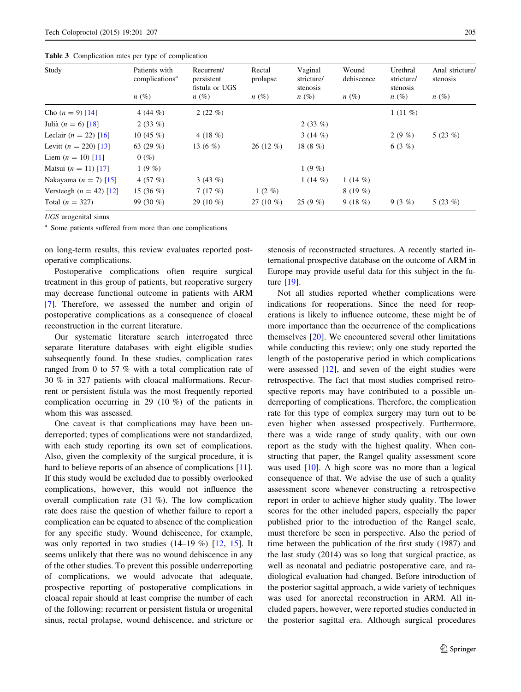<span id="page-4-0"></span>

|  | Table 3 Complication rates per type of complication |  |  |  |  |  |
|--|-----------------------------------------------------|--|--|--|--|--|
|--|-----------------------------------------------------|--|--|--|--|--|

| Study                      | Patients with<br>complications <sup>a</sup> | Recurrent/<br>persistent<br>fistula or UGS | Rectal<br>prolapse | Vaginal<br>stricture/<br>stenosis | Wound<br>dehiscence | Urethral<br>stricture/<br>stenosis | Anal stricture/<br>stenosis |
|----------------------------|---------------------------------------------|--------------------------------------------|--------------------|-----------------------------------|---------------------|------------------------------------|-----------------------------|
|                            | $n(\%)$                                     | $n(\%)$                                    | $n(\%)$            | $n(\%)$                           | $n(\%)$             | $n(\%)$                            | $n(\%)$                     |
| Cho $(n = 9)$ [14]         | 4 (44 %)                                    | 2(22%)                                     |                    |                                   |                     | 1 $(11\%)$                         |                             |
| Julià ( <i>n</i> = 6) [18] | $2(33\%)$                                   |                                            |                    | 2 $(33\%)$                        |                     |                                    |                             |
| Leclair ( $n = 22$ ) [16]  | 10 $(45\%$                                  | 4 (18 $%$ )                                |                    | 3 $(14\%)$                        |                     | 2 (9 %)                            | 5 $(23\%)$                  |
| Levitt $(n = 220)$ [13]    | 63 $(29\%)$                                 | 13 (6 $%$ )                                | $26(12\%)$         | 18 $(8 \%)$                       |                     | 6 $(3 \%)$                         |                             |
| Liem $(n = 10)$ [11]       | 0(%)                                        |                                            |                    |                                   |                     |                                    |                             |
| Matsui $(n = 11)$ [17]     | 1 (9 $%$ )                                  |                                            |                    | 1 (9 %)                           |                     |                                    |                             |
| Nakayama $(n = 7)$ [15]    | 4 $(57\%)$                                  | 3 $(43\%)$                                 |                    | 1 $(14\%)$                        | 1 $(14\%)$          |                                    |                             |
| Versteegh $(n = 42)$ [12]  | 15 $(36\%)$                                 | 7(17%)                                     | 1 $(2 \%)$         |                                   | 8(19%)              |                                    |                             |
| Total $(n = 327)$          | 99 $(30\%$                                  | 29 $(10\%$                                 | 27 $(10\%$         | 25 (9 $%$ )                       | 9(18%)              | $9(3\%)$                           | 5 $(23\%)$                  |

UGS urogenital sinus

<sup>a</sup> Some patients suffered from more than one complications

on long-term results, this review evaluates reported postoperative complications.

Postoperative complications often require surgical treatment in this group of patients, but reoperative surgery may decrease functional outcome in patients with ARM [\[7](#page-6-0)]. Therefore, we assessed the number and origin of postoperative complications as a consequence of cloacal reconstruction in the current literature.

Our systematic literature search interrogated three separate literature databases with eight eligible studies subsequently found. In these studies, complication rates ranged from 0 to 57 % with a total complication rate of 30 % in 327 patients with cloacal malformations. Recurrent or persistent fistula was the most frequently reported complication occurring in 29 (10 %) of the patients in whom this was assessed.

One caveat is that complications may have been underreported; types of complications were not standardized, with each study reporting its own set of complications. Also, given the complexity of the surgical procedure, it is hard to believe reports of an absence of complications [\[11](#page-6-0)]. If this study would be excluded due to possibly overlooked complications, however, this would not influence the overall complication rate (31 %). The low complication rate does raise the question of whether failure to report a complication can be equated to absence of the complication for any specific study. Wound dehiscence, for example, was only reported in two studies  $(14-19\%)$  [[12,](#page-6-0) [15\]](#page-6-0). It seems unlikely that there was no wound dehiscence in any of the other studies. To prevent this possible underreporting of complications, we would advocate that adequate, prospective reporting of postoperative complications in cloacal repair should at least comprise the number of each of the following: recurrent or persistent fistula or urogenital sinus, rectal prolapse, wound dehiscence, and stricture or stenosis of reconstructed structures. A recently started international prospective database on the outcome of ARM in Europe may provide useful data for this subject in the future [\[19](#page-6-0)].

Not all studies reported whether complications were indications for reoperations. Since the need for reoperations is likely to influence outcome, these might be of more importance than the occurrence of the complications themselves [\[20](#page-6-0)]. We encountered several other limitations while conducting this review; only one study reported the length of the postoperative period in which complications were assessed [[12\]](#page-6-0), and seven of the eight studies were retrospective. The fact that most studies comprised retrospective reports may have contributed to a possible underreporting of complications. Therefore, the complication rate for this type of complex surgery may turn out to be even higher when assessed prospectively. Furthermore, there was a wide range of study quality, with our own report as the study with the highest quality. When constructing that paper, the Rangel quality assessment score was used [\[10](#page-6-0)]. A high score was no more than a logical consequence of that. We advise the use of such a quality assessment score whenever constructing a retrospective report in order to achieve higher study quality. The lower scores for the other included papers, especially the paper published prior to the introduction of the Rangel scale, must therefore be seen in perspective. Also the period of time between the publication of the first study (1987) and the last study (2014) was so long that surgical practice, as well as neonatal and pediatric postoperative care, and radiological evaluation had changed. Before introduction of the posterior sagittal approach, a wide variety of techniques was used for anorectal reconstruction in ARM. All included papers, however, were reported studies conducted in the posterior sagittal era. Although surgical procedures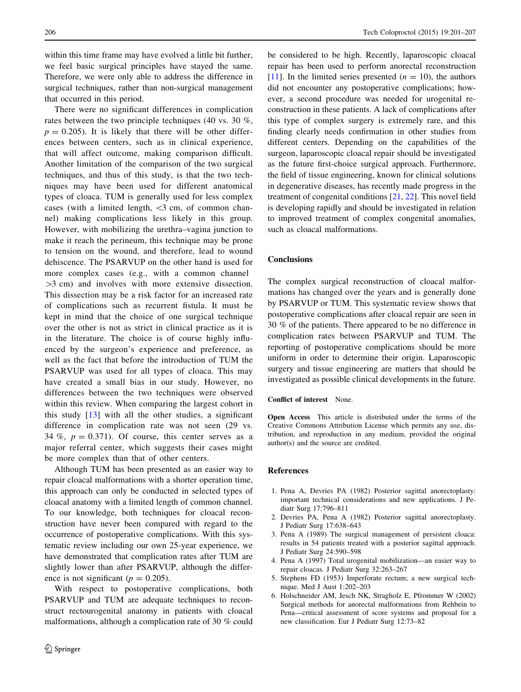<span id="page-5-0"></span>within this time frame may have evolved a little bit further, we feel basic surgical principles have stayed the same. Therefore, we were only able to address the difference in surgical techniques, rather than non-surgical management that occurred in this period.

There were no significant differences in complication rates between the two principle techniques (40 vs. 30 %,  $p = 0.205$ . It is likely that there will be other differences between centers, such as in clinical experience, that will affect outcome, making comparison difficult. Another limitation of the comparison of the two surgical techniques, and thus of this study, is that the two techniques may have been used for different anatomical types of cloaca. TUM is generally used for less complex cases (with a limited length,  $\langle 3 \rangle$  cm, of common channel) making complications less likely in this group. However, with mobilizing the urethra–vagina junction to make it reach the perineum, this technique may be prone to tension on the wound, and therefore, lead to wound dehiscence. The PSARVUP on the other hand is used for more complex cases (e.g., with a common channel  $>3$  cm) and involves with more extensive dissection. This dissection may be a risk factor for an increased rate of complications such as recurrent fistula. It must be kept in mind that the choice of one surgical technique over the other is not as strict in clinical practice as it is in the literature. The choice is of course highly influenced by the surgeon's experience and preference, as well as the fact that before the introduction of TUM the PSARVUP was used for all types of cloaca. This may have created a small bias in our study. However, no differences between the two techniques were observed within this review. When comparing the largest cohort in this study [[13](#page-6-0)] with all the other studies, a significant difference in complication rate was not seen (29 vs. 34 %,  $p = 0.371$ . Of course, this center serves as a major referral center, which suggests their cases might be more complex than that of other centers.

Although TUM has been presented as an easier way to repair cloacal malformations with a shorter operation time, this approach can only be conducted in selected types of cloacal anatomy with a limited length of common channel. To our knowledge, both techniques for cloacal reconstruction have never been compared with regard to the occurrence of postoperative complications. With this systematic review including our own 25-year experience, we have demonstrated that complication rates after TUM are slightly lower than after PSARVUP, although the difference is not significant ( $p = 0.205$ ).

With respect to postoperative complications, both PSARVUP and TUM are adequate techniques to reconstruct rectourogenital anatomy in patients with cloacal malformations, although a complication rate of 30 % could be considered to be high. Recently, laparoscopic cloacal repair has been used to perform anorectal reconstruction [\[11](#page-6-0)]. In the limited series presented  $(n = 10)$ , the authors did not encounter any postoperative complications; however, a second procedure was needed for urogenital reconstruction in these patients. A lack of complications after this type of complex surgery is extremely rare, and this finding clearly needs confirmation in other studies from different centers. Depending on the capabilities of the surgeon, laparoscopic cloacal repair should be investigated as the future first-choice surgical approach. Furthermore, the field of tissue engineering, known for clinical solutions in degenerative diseases, has recently made progress in the treatment of congenital conditions [[21,](#page-6-0) [22](#page-6-0)]. This novel field is developing rapidly and should be investigated in relation to improved treatment of complex congenital anomalies, such as cloacal malformations.

# Conclusions

The complex surgical reconstruction of cloacal malformations has changed over the years and is generally done by PSARVUP or TUM. This systematic review shows that postoperative complications after cloacal repair are seen in 30 % of the patients. There appeared to be no difference in complication rates between PSARVUP and TUM. The reporting of postoperative complications should be more uniform in order to determine their origin. Laparoscopic surgery and tissue engineering are matters that should be investigated as possible clinical developments in the future.

## Conflict of interest None.

Open Access This article is distributed under the terms of the Creative Commons Attribution License which permits any use, distribution, and reproduction in any medium, provided the original author(s) and the source are credited.

## References

- 1. Pena A, Devries PA (1982) Posterior sagittal anorectoplasty: important technical considerations and new applications. J Pediatr Surg 17:796–811
- 2. Devries PA, Pena A (1982) Posterior sagittal anorectoplasty. J Pediatr Surg 17:638–643
- 3. Pena A (1989) The surgical management of persistent cloaca: results in 54 patients treated with a posterior sagittal approach. J Pediatr Surg 24:590–598
- 4. Pena A (1997) Total urogenital mobilization—an easier way to repair cloacas. J Pediatr Surg 32:263–267
- 5. Stephens FD (1953) Imperforate rectum; a new surgical technique. Med J Aust 1:202–203
- 6. Holschneider AM, Jesch NK, Stragholz E, Pfrommer W (2002) Surgical methods for anorectal malformations from Rehbein to Pena—critical assessment of score systems and proposal for a new classification. Eur J Pediatr Surg 12:73–82